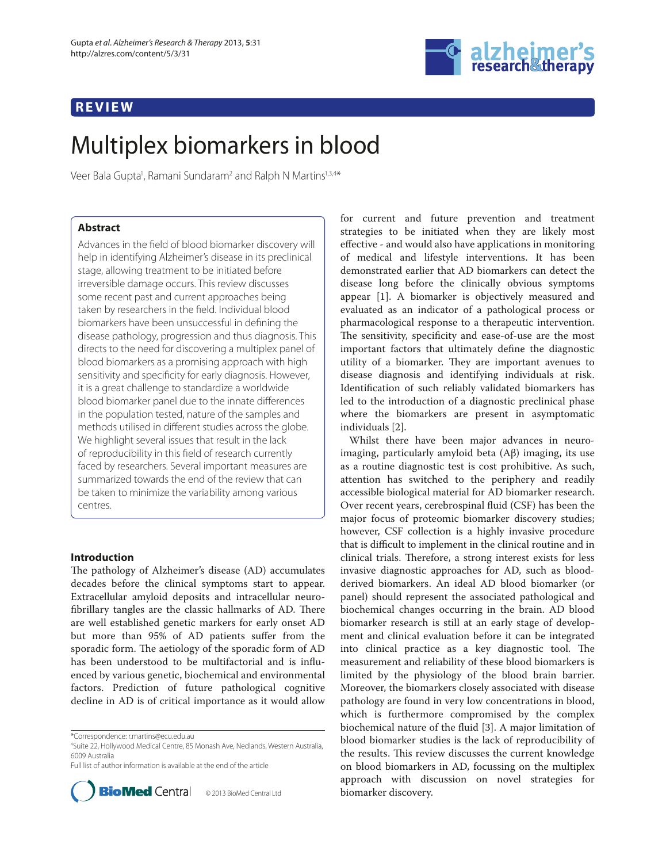## **REVIEW**



# Multiplex biomarkers in blood

Veer Bala Gupta<sup>1</sup>, Ramani Sundaram<sup>2</sup> and Ralph N Martins<sup>1,3,4</sup>\*

## **Abstract**

Advances in the field of blood biomarker discovery will help in identifying Alzheimer's disease in its preclinical stage, allowing treatment to be initiated before irreversible damage occurs. This review discusses some recent past and current approaches being taken by researchers in the field. Individual blood biomarkers have been unsuccessful in defining the disease pathology, progression and thus diagnosis. This directs to the need for discovering a multiplex panel of blood biomarkers as a promising approach with high sensitivity and specificity for early diagnosis. However, it is a great challenge to standardize a worldwide blood biomarker panel due to the innate differences in the population tested, nature of the samples and methods utilised in different studies across the globe. We highlight several issues that result in the lack of reproducibility in this field of research currently faced by researchers. Several important measures are summarized towards the end of the review that can be taken to minimize the variability among various centres.

## **Introduction**

The pathology of Alzheimer's disease (AD) accumulates decades before the clinical symptoms start to appear. Extracellular amyloid deposits and intracellular neurofibrillary tangles are the classic hallmarks of AD. There are well established genetic markers for early onset AD but more than 95% of AD patients suffer from the sporadic form. The aetiology of the sporadic form of AD has been understood to be multifactorial and is influenced by various genetic, biochemical and environmental factors. Prediction of future pathological cognitive decline in AD is of critical importance as it would allow

4 Suite 22, Hollywood Medical Centre, 85 Monash Ave, Nedlands, Western Australia, 6009 Australia

Full list of author information is available at the end of the article



for current and future prevention and treatment strategies to be initiated when they are likely most effective - and would also have applications in monitoring of medical and lifestyle interventions. It has been demonstrated earlier that AD biomarkers can detect the disease long before the clinically obvious symptoms appear [1]. A biomarker is objectively measured and evaluated as an indicator of a pathological process or pharmacological response to a therapeutic intervention. The sensitivity, specificity and ease-of-use are the most important factors that ultimately define the diagnostic utility of a biomarker. They are important avenues to disease diagnosis and identifying individuals at risk. Identification of such reliably validated biomarkers has led to the introduction of a diagnostic preclinical phase where the biomarkers are present in asymptomatic individuals [2].

Whilst there have been major advances in neuroimaging, particularly amyloid beta (Aβ) imaging, its use as a routine diagnostic test is cost prohibitive. As such, attention has switched to the periphery and readily accessible biological material for AD biomarker research. Over recent years, cerebrospinal fluid (CSF) has been the major focus of proteomic biomarker discovery studies; however, CSF collection is a highly invasive procedure that is difficult to implement in the clinical routine and in clinical trials. Therefore, a strong interest exists for less invasive diagnostic approaches for AD, such as bloodderived biomarkers. An ideal AD blood biomarker (or panel) should represent the associated pathological and biochemical changes occurring in the brain. AD blood biomarker research is still at an early stage of development and clinical evaluation before it can be integrated into clinical practice as a key diagnostic tool. The measurement and reliability of these blood biomarkers is limited by the physiology of the blood brain barrier. Moreover, the biomarkers closely associated with disease pathology are found in very low concentrations in blood, which is furthermore compromised by the complex biochemical nature of the fluid [3]. A major limitation of blood biomarker studies is the lack of reproducibility of the results. This review discusses the current knowledge on blood biomarkers in AD, focussing on the multiplex approach with discussion on novel strategies for biomarker discovery.

<sup>\*</sup>Correspondence: r.martins@ecu.edu.au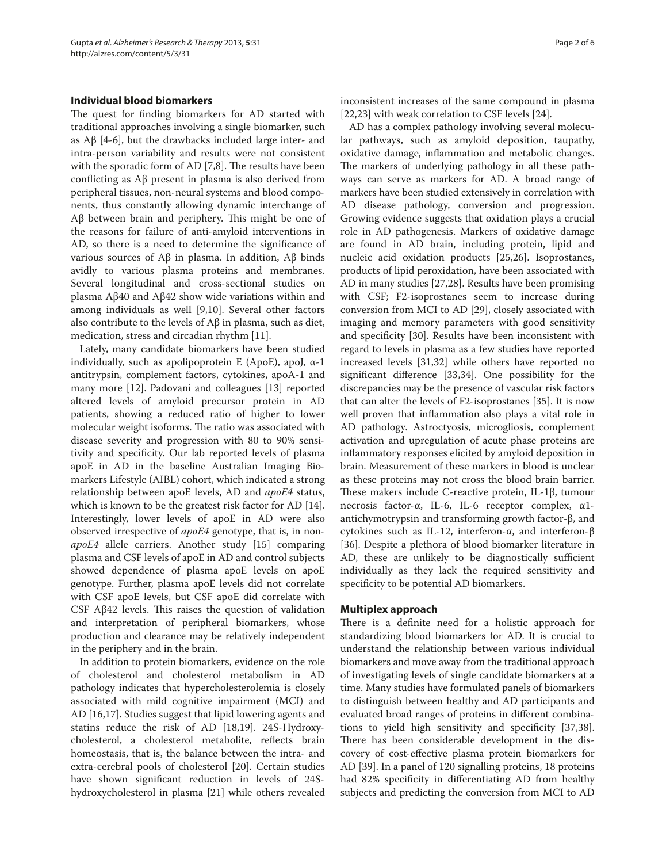### **Individual blood biomarkers**

The quest for finding biomarkers for AD started with traditional approaches involving a single biomarker, such as  $\text{A}\beta$  [4-6], but the drawbacks included large inter- and intra-person variability and results were not consistent with the sporadic form of AD  $[7,8]$ . The results have been conflicting as  $\mathbf{A}\mathbf{\beta}$  present in plasma is also derived from peripheral tissues, non-neural systems and blood components, thus constantly allowing dynamic interchange of Aβ between brain and periphery. This might be one of the reasons for failure of anti-amyloid interventions in AD, so there is a need to determine the significance of various sources of Aβ in plasma. In addition, Aβ binds avidly to various plasma proteins and membranes. Several longitudinal and cross-sectional studies on plasma Aβ40 and Aβ42 show wide variations within and among individuals as well [9,10]. Several other factors also contribute to the levels of Aβ in plasma, such as diet, medication, stress and circadian rhythm [11].

Lately, many candidate biomarkers have been studied individually, such as apolipoprotein E (ApoE), apoJ,  $\alpha$ -1 antitrypsin, complement factors, cytokines, apoA-1 and many more [12]. Padovani and colleagues [13] reported altered levels of amyloid precursor protein in AD patients, showing a reduced ratio of higher to lower molecular weight isoforms. The ratio was associated with disease severity and progression with 80 to 90% sensitivity and specificity. Our lab reported levels of plasma apoE in AD in the baseline Australian Imaging Biomarkers Lifestyle (AIBL) cohort, which indicated a strong relationship between apoE levels, AD and *apoE4* status, which is known to be the greatest risk factor for AD [14]. Interestingly, lower levels of apoE in AD were also observed irrespective of *apoE4* genotype, that is, in non*apoE4* allele carriers. Another study [15] comparing plasma and CSF levels of apoE in AD and control subjects showed dependence of plasma apoE levels on apoE genotype. Further, plasma apoE levels did not correlate with CSF apoE levels, but CSF apoE did correlate with CSF A $\beta$ 42 levels. This raises the question of validation and interpretation of peripheral biomarkers, whose production and clearance may be relatively independent in the periphery and in the brain.

In addition to protein biomarkers, evidence on the role of cholesterol and cholesterol metabolism in AD pathology indicates that hypercholesterolemia is closely associated with mild cognitive impairment (MCI) and AD [16,17]. Studies suggest that lipid lowering agents and statins reduce the risk of AD [18,19]. 24S-Hydroxycholesterol, a cholesterol metabolite, reflects brain homeostasis, that is, the balance between the intra- and extra-cerebral pools of cholesterol [20]. Certain studies have shown significant reduction in levels of 24Shydroxy cholesterol in plasma [21] while others revealed inconsistent increases of the same compound in plasma [22,23] with weak correlation to CSF levels [24].

AD has a complex pathology involving several molecular pathways, such as amyloid deposition, taupathy, oxidative damage, inflammation and metabolic changes. The markers of underlying pathology in all these pathways can serve as markers for AD. A broad range of markers have been studied extensively in correlation with AD disease pathology, conversion and progression. Growing evidence suggests that oxidation plays a crucial role in AD pathogenesis. Markers of oxidative damage are found in AD brain, including protein, lipid and nucleic acid oxidation products [25,26]. Isoprostanes, products of lipid peroxidation, have been associated with AD in many studies [27,28]. Results have been promising with CSF; F2-isoprostanes seem to increase during conversion from MCI to AD [29], closely associated with imaging and memory parameters with good sensitivity and specificity [30]. Results have been inconsistent with regard to levels in plasma as a few studies have reported increased levels [31,32] while others have reported no significant difference [33,34]. One possibility for the discrepancies may be the presence of vascular risk factors that can alter the levels of F2-isoprostanes [35]. It is now well proven that inflammation also plays a vital role in AD pathology. Astroctyosis, microgliosis, complement activation and upregulation of acute phase proteins are inflammatory responses elicited by amyloid deposition in brain. Measurement of these markers in blood is unclear as these proteins may not cross the blood brain barrier. These makers include C-reactive protein, IL-1β, tumour necrosis factor-α, IL-6, IL-6 receptor complex, α1 antichymotrypsin and transforming growth factor-β, and cytokines such as IL-12, interferon-α, and interferon-β [36]. Despite a plethora of blood biomarker literature in AD, these are unlikely to be diagnostically sufficient individually as they lack the required sensitivity and specificity to be potential AD biomarkers.

#### **Multiplex approach**

There is a definite need for a holistic approach for standardizing blood biomarkers for AD. It is crucial to understand the relationship between various individual biomarkers and move away from the traditional approach of investigating levels of single candidate biomarkers at a time. Many studies have formulated panels of biomarkers to distinguish between healthy and AD participants and evaluated broad ranges of proteins in different combinations to yield high sensitivity and specificity [37,38]. There has been considerable development in the discovery of cost-effective plasma protein biomarkers for AD [39]. In a panel of 120 signalling proteins, 18 proteins had 82% specificity in differentiating AD from healthy subjects and predicting the conversion from MCI to AD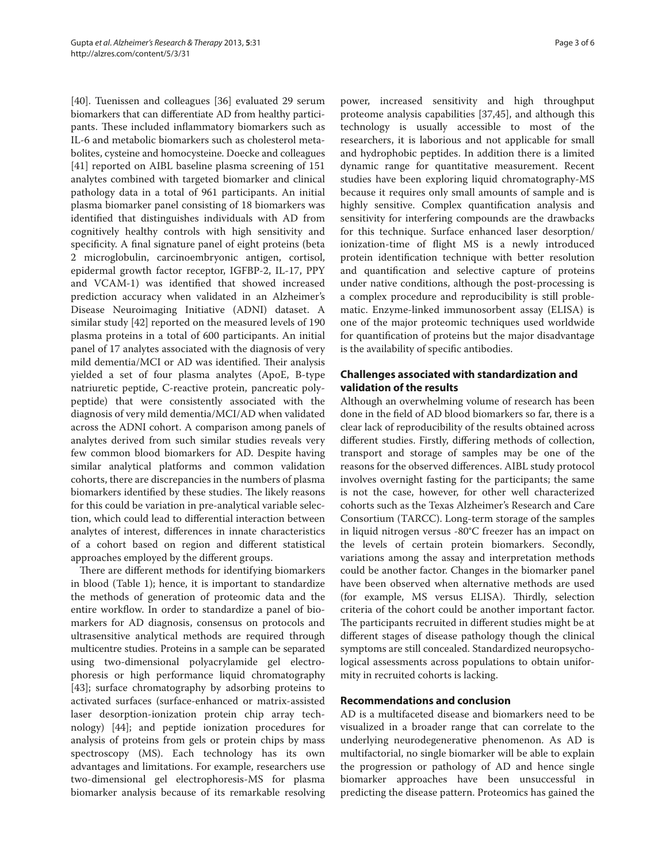[40]. Tuenissen and colleagues [36] evaluated 29 serum biomarkers that can differentiate AD from healthy participants. These included inflammatory biomarkers such as IL-6 and metabolic biomarkers such as cholesterol metabolites, cysteine and homocysteine. Doecke and colleagues [41] reported on AIBL baseline plasma screening of 151 analytes combined with targeted biomarker and clinical pathology data in a total of 961 participants. An initial plasma biomarker panel consisting of 18 biomarkers was identified that distinguishes individuals with AD from cognitively healthy controls with high sensitivity and specificity. A final signature panel of eight proteins (beta 2 microglobulin, carcinoembryonic antigen, cortisol, epidermal growth factor receptor, IGFBP-2, IL-17, PPY and VCAM-1) was identified that showed increased prediction accuracy when validated in an Alzheimer's Disease Neuroimaging Initiative (ADNI) dataset. A similar study [42] reported on the measured levels of 190 plasma proteins in a total of 600 participants. An initial panel of 17 analytes associated with the diagnosis of very mild dementia/MCI or AD was identified. Their analysis yielded a set of four plasma analytes (ApoE, B-type natriuretic peptide, C-reactive protein, pancreatic polypeptide) that were consistently associated with the diagnosis of very mild dementia/MCI/AD when validated across the ADNI cohort. A comparison among panels of analytes derived from such similar studies reveals very few common blood biomarkers for AD. Despite having similar analytical platforms and common validation cohorts, there are discrepancies in the numbers of plasma biomarkers identified by these studies. The likely reasons for this could be variation in pre-analytical variable selection, which could lead to differential interaction between analytes of interest, differences in innate characteristics of a cohort based on region and different statistical approaches employed by the different groups.

There are different methods for identifying biomarkers in blood (Table 1); hence, it is important to standardize the methods of generation of proteomic data and the entire workflow. In order to standardize a panel of biomarkers for AD diagnosis, consensus on protocols and ultra sensitive analytical methods are required through multicentre studies. Proteins in a sample can be separated using two-dimensional polyacrylamide gel electrophoresis or high performance liquid chromatography [43]; surface chromatography by adsorbing proteins to activated surfaces (surface-enhanced or matrix-assisted laser desorption-ionization protein chip array technology) [44]; and peptide ionization procedures for analysis of proteins from gels or protein chips by mass spectroscopy (MS). Each technology has its own advantages and limitations. For example, researchers use two-dimen sional gel electrophoresis-MS for plasma biomarker analysis because of its remarkable resolving power, increased sensitivity and high throughput proteome analysis capabilities [37,45], and although this technology is usually accessible to most of the researchers, it is laborious and not applicable for small and hydrophobic peptides. In addition there is a limited dynamic range for quantitative measurement. Recent studies have been exploring liquid chromatography-MS because it requires only small amounts of sample and is highly sensitive. Complex quantification analysis and sensitivity for interfering compounds are the drawbacks for this technique. Surface enhanced laser desorption/ ionization-time of flight MS is a newly introduced protein identification technique with better resolution and quantification and selective capture of proteins under native conditions, although the post-processing is a complex procedure and reproducibility is still problematic. Enzyme-linked immunosorbent assay (ELISA) is one of the major proteomic techniques used worldwide for quantification of proteins but the major disadvantage is the availability of specific antibodies.

## **Challenges associated with standardization and validation of the results**

Although an overwhelming volume of research has been done in the field of AD blood biomarkers so far, there is a clear lack of reproducibility of the results obtained across different studies. Firstly, differing methods of collection, transport and storage of samples may be one of the reasons for the observed differences. AIBL study protocol involves overnight fasting for the participants; the same is not the case, however, for other well characterized cohorts such as the Texas Alzheimer's Research and Care Consortium (TARCC). Long-term storage of the samples in liquid nitrogen versus -80°C freezer has an impact on the levels of certain protein biomarkers. Secondly, variations among the assay and interpretation methods could be another factor. Changes in the biomarker panel have been observed when alternative methods are used (for example, MS versus ELISA). Thirdly, selection criteria of the cohort could be another important factor. The participants recruited in different studies might be at different stages of disease pathology though the clinical symptoms are still concealed. Standardized neuropsychological assessments across populations to obtain uniformity in recruited cohorts is lacking.

## **Recommendations and conclusion**

AD is a multifaceted disease and biomarkers need to be visualized in a broader range that can correlate to the underlying neurodegenerative phenomenon. As AD is multifactorial, no single biomarker will be able to explain the progression or pathology of AD and hence single biomarker approaches have been unsuccessful in predicting the disease pattern. Proteomics has gained the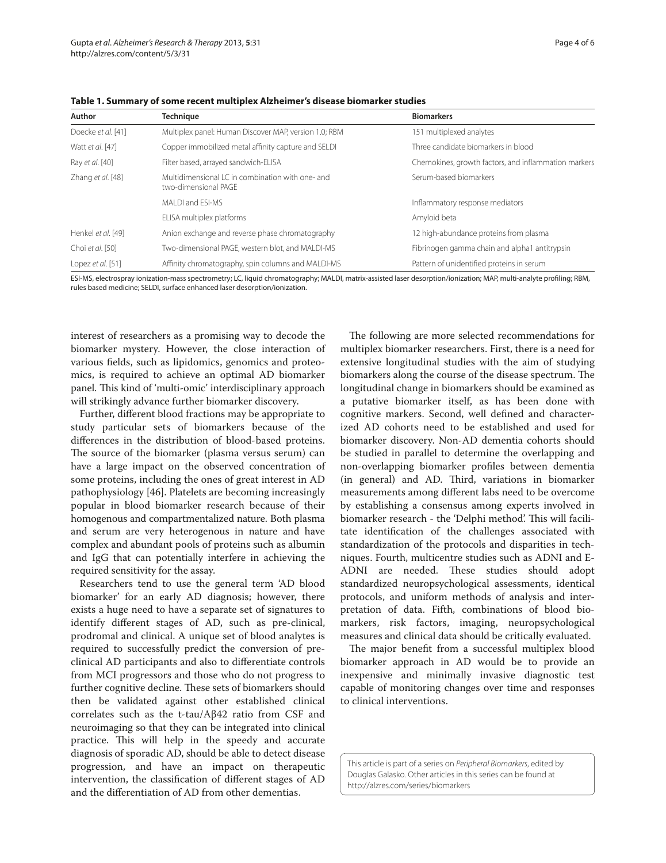| Author             | <b>Technique</b>                                                         | <b>Biomarkers</b>                                    |
|--------------------|--------------------------------------------------------------------------|------------------------------------------------------|
| Doecke et al. [41] | Multiplex panel: Human Discover MAP, version 1.0; RBM                    | 151 multiplexed analytes                             |
| Watt et al. [47]   | Copper immobilized metal affinity capture and SELDI                      | Three candidate biomarkers in blood                  |
| Ray et al. [40]    | Filter based, arrayed sandwich-ELISA                                     | Chemokines, growth factors, and inflammation markers |
| Zhang et al. [48]  | Multidimensional LC in combination with one- and<br>two-dimensional PAGE | Serum-based biomarkers                               |
|                    | MALDI and ESI-MS                                                         | Inflammatory response mediators                      |
|                    | ELISA multiplex platforms                                                | Amyloid beta                                         |
| Henkel et al. [49] | Anion exchange and reverse phase chromatography                          | 12 high-abundance proteins from plasma               |
| Choi et al. [50]   | Two-dimensional PAGE, western blot, and MALDI-MS                         | Fibrinogen gamma chain and alpha1 antitrypsin        |
| Lopez et al. [51]  | Affinity chromatography, spin columns and MALDI-MS                       | Pattern of unidentified proteins in serum            |

**Table 1. Summary of some recent multiplex Alzheimer's disease biomarker studies** 

ESI-MS, electrospray ionization-mass spectrometry; LC, liquid chromatography; MALDI, matrix-assisted laser desorption/ionization; MAP, multi-analyte profiling; RBM, rules based medicine; SELDI, surface enhanced laser desorption/ionization.

interest of researchers as a promising way to decode the biomarker mystery. However, the close interaction of various fields, such as lipidomics, genomics and proteomics, is required to achieve an optimal AD biomarker panel. This kind of 'multi-omic' interdisciplinary approach will strikingly advance further biomarker discovery.

Further, different blood fractions may be appropriate to study particular sets of biomarkers because of the differences in the distribution of blood-based proteins. The source of the biomarker (plasma versus serum) can have a large impact on the observed concentration of some proteins, including the ones of great interest in AD pathophysiology [46]. Platelets are becoming increasingly popular in blood biomarker research because of their homogenous and compartmentalized nature. Both plasma and serum are very heterogenous in nature and have complex and abundant pools of proteins such as albumin and IgG that can potentially interfere in achieving the required sensitivity for the assay.

Researchers tend to use the general term 'AD blood biomarker' for an early AD diagnosis; however, there exists a huge need to have a separate set of signatures to identify different stages of AD, such as pre-clinical, prodromal and clinical. A unique set of blood analytes is required to successfully predict the conversion of preclinical AD participants and also to differentiate controls from MCI progressors and those who do not progress to further cognitive decline. These sets of biomarkers should then be validated against other established clinical correlates such as the t-tau/Aβ42 ratio from CSF and neuroimaging so that they can be integrated into clinical practice. This will help in the speedy and accurate diagnosis of sporadic AD, should be able to detect disease progression, and have an impact on therapeutic intervention, the classification of different stages of AD and the differentiation of AD from other dementias.

The following are more selected recommendations for multiplex biomarker researchers. First, there is a need for extensive longitudinal studies with the aim of studying biomarkers along the course of the disease spectrum. The longitudinal change in biomarkers should be examined as a putative biomarker itself, as has been done with cognitive markers. Second, well defined and characterized AD cohorts need to be established and used for biomarker discovery. Non-AD dementia cohorts should be studied in parallel to determine the overlapping and non-overlapping biomarker profiles between dementia (in general) and AD. Third, variations in biomarker measurements among different labs need to be overcome by establishing a consensus among experts involved in biomarker research - the 'Delphi method'. This will facilitate identification of the challenges associated with standardization of the protocols and disparities in techniques. Fourth, multicentre studies such as ADNI and E-ADNI are needed. These studies should adopt standardized neuropsychological assessments, identical protocols, and uniform methods of analysis and interpretation of data. Fifth, combinations of blood biomarkers, risk factors, imaging, neuropsychological measures and clinical data should be critically evaluated.

The major benefit from a successful multiplex blood biomarker approach in AD would be to provide an inexpensive and minimally invasive diagnostic test capable of monitoring changes over time and responses to clinical interventions.

This article is part of a series on Peripheral Biomarkers, edited by Douglas Galasko. Other articles in this series can be found at http://alzres.com/series/biomarkers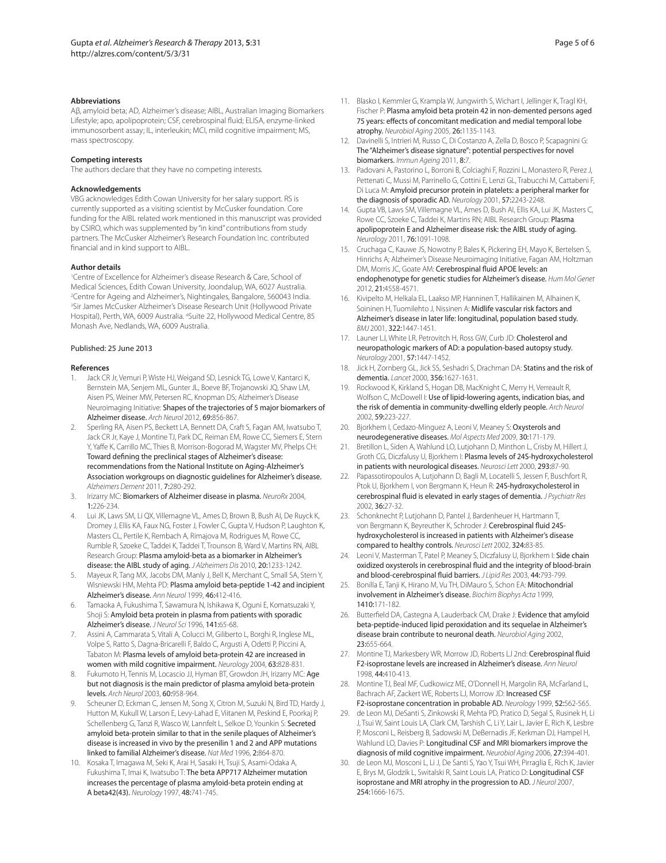#### **Abbreviations**

Aβ, amyloid beta; AD, Alzheimer's disease; AIBL, Australian Imaging Biomarkers Lifestyle; apo, apolipoprotein; CSF, cerebrospinal fluid; ELISA, enzyme-linked immunosorbent assay; IL, interleukin; MCI, mild cognitive impairment; MS, mass spectroscopy.

#### **Competing interests**

The authors declare that they have no competing interests.

#### **Acknowledgements**

VBG acknowledges Edith Cowan University for her salary support. RS is currently supported as a visiting scientist by McCusker foundation. Core funding for the AIBL related work mentioned in this manuscript was provided by CSIRO, which was supplemented by "in kind" contributions from study partners. The McCusker Alzheimer's Research Foundation Inc. contributed financial and in kind support to AIBL.

#### **Author details**

1 Centre of Excellence for Alzheimer's disease Research & Care, School of Medical Sciences, Edith Cowan University, Joondalup, WA, 6027 Australia. 2 Centre for Ageing and Alzheimer's, Nightingales, Bangalore, 560043 India. 3 Sir James McCusker Alzheimer's Disease Research Unit (Hollywood Private Hospital), Perth, WA, 6009 Australia. <sup>4</sup>Suite 22, Hollywood Medical Centre, 85 Monash Ave, Nedlands, WA, 6009 Australia.

#### Published: 25 June 2013

#### **References**

- Jack CR Jr, Vemuri P, Wiste HJ, Weigand SD, Lesnick TG, Lowe V, Kantarci K, Bernstein MA, Senjem ML, Gunter JL, Boeve BF, Trojanowski JQ, Shaw LM, Aisen PS, Weiner MW, Petersen RC, Knopman DS; Alzheimer's Disease Neuroimaging Initiative: Shapes of the trajectories of 5 major biomarkers of Alzheimer disease. Arch Neurol 2012, 69:856-867.
- 2. Sperling RA, Aisen PS, Beckett LA, Bennett DA, Craft S, Fagan AM, Iwatsubo T, Jack CR Jr, Kaye J, Montine TJ, Park DC, Reiman EM, Rowe CC, Siemers E, Stern Y, Yaffe K, Carrillo MC, Thies B, Morrison-Bogorad M, Wagster MV, Phelps CH: Toward defining the preclinical stages of Alzheimer's disease: recommendations from the National Institute on Aging-Alzheimer's Association workgroups on diagnostic guidelines for Alzheimer's disease. Alzheimers Dement 2011, 7:280-292.
- 3. Irizarry MC: Biomarkers of Alzheimer disease in plasma. NeuroRx 2004, 1:226-234.
- 4. Lui JK, Laws SM, Li QX, Villemagne VL, Ames D, Brown B, Bush AI, De Ruyck K, Dromey J, Ellis KA, Faux NG, Foster J, Fowler C, Gupta V, Hudson P, Laughton K, Masters CL, Pertile K, Rembach A, Rimajova M, Rodrigues M, Rowe CC, Rumble R, Szoeke C, Taddei K, Taddei T, Trounson B, Ward V, Martins RN, AIBL Research Group: Plasma amyloid-beta as a biomarker in Alzheimer's disease: the AIBL study of aging. J Alzheimers Dis 2010, 20:1233-1242.
- Mayeux R, Tang MX, Jacobs DM, Manly J, Bell K, Merchant C, Small SA, Stern Y, Wisniewski HM, Mehta PD: Plasma amyloid beta-peptide 1-42 and incipient Alzheimer's disease. Ann Neurol 1999, 46:412-416.
- 6. Tamaoka A, Fukushima T, Sawamura N, Ishikawa K, Oguni E, Komatsuzaki Y, Shoji S: Amyloid beta protein in plasma from patients with sporadic Alzheimer's disease. J Neurol Sci 1996, 141:65-68.
- 7. Assini A, Cammarata S, Vitali A, Colucci M, Giliberto L, Borghi R, Inglese ML, Volpe S, Ratto S, Dagna-Bricarelli F, Baldo C, Argusti A, Odetti P, Piccini A, Tabaton M: Plasma levels of amyloid beta-protein 42 are increased in women with mild cognitive impairment. Neurology 2004, 63:828-831.
- 8. Fukumoto H, Tennis M, Locascio JJ, Hyman BT, Growdon JH, Irizarry MC: Age but not diagnosis is the main predictor of plasma amyloid beta-protein levels. Arch Neurol 2003, 60:958-964.
- 9. Scheuner D, Eckman C, Jensen M, Song X, Citron M, Suzuki N, Bird TD, Hardy J, Hutton M, Kukull W, Larson E, Levy-Lahad E, Viitanen M, Peskind E, Poorkaj P, Schellenberg G, Tanzi R, Wasco W, Lannfelt L, Selkoe D, Younkin S: Secreted amyloid beta-protein similar to that in the senile plaques of Alzheimer's disease is increased in vivo by the presenilin 1 and 2 and APP mutations linked to familial Alzheimer's disease. Nat Med 1996, 2:864-870.
- 10. Kosaka T, Imagawa M, Seki K, Arai H, Sasaki H, Tsuji S, Asami-Odaka A, Fukushima T, Imai K, Iwatsubo T: The beta APP717 Alzheimer mutation increases the percentage of plasma amyloid-beta protein ending at A beta42(43). Neurology 1997, 48:741-745.
- Page 5 of 6
- 11. Blasko I, Kemmler G, Krampla W, Jungwirth S, Wichart I, Jellinger K, Tragl KH, Fischer P: Plasma amyloid beta protein 42 in non-demented persons aged 75 years: effects of concomitant medication and medial temporal lobe atrophy. Neurobiol Aging 2005, 26:1135-1143.
- 12. Davinelli S, Intrieri M, Russo C, Di Costanzo A, Zella D, Bosco P, Scapagnini G: The "Alzheimer's disease signature": potential perspectives for novel biomarkers. Immun Ageing 2011, 8:7.
- 13. Padovani A, Pastorino L, Borroni B, Colciaghi F, Rozzini L, Monastero R, Perez J, Pettenati C, Mussi M, Parrinello G, Cottini E, Lenzi GL, Trabucchi M, Cattabeni F, Di Luca M: Amyloid precursor protein in platelets: a peripheral marker for the diagnosis of sporadic AD. Neurology 2001, 57:2243-2248.
- 14. Gupta VB, Laws SM, Villemagne VL, Ames D, Bush AI, Ellis KA, Lui JK, Masters C, Rowe CC, Szoeke C, Taddei K, Martins RN; AIBL Research Group: Plasma apolipoprotein E and Alzheimer disease risk: the AIBL study of aging. Neurology 2011, 76:1091-1098.
- 15. Cruchaga C, Kauwe JS, Nowotny P, Bales K, Pickering EH, Mayo K, Bertelsen S, Hinrichs A; Alzheimer's Disease Neuroimaging Initiative, Fagan AM, Holtzman DM, Morris JC, Goate AM: Cerebrospinal fluid APOE levels: an endophenotype for genetic studies for Alzheimer's disease. Hum Mol Genet 2012, 21:4558-4571.
- Kivipelto M, Helkala EL, Laakso MP, Hanninen T, Hallikainen M, Alhainen K, Soininen H, Tuomilehto J, Nissinen A: Midlife vascular risk factors and Alzheimer's disease in later life: longitudinal, population based study. BMJ 2001, 322:1447-1451.
- 17. Launer LJ, White LR, Petrovitch H, Ross GW, Curb JD: Cholesterol and neuropathologic markers of AD: a population-based autopsy study. Neurology 2001, 57:1447-1452.
- 18. Jick H, Zornberg GL, Jick SS, Seshadri S, Drachman DA: Statins and the risk of dementia. Lancet 2000, 356:1627-1631.
- 19. Rockwood K, Kirkland S, Hogan DB, MacKnight C, Merry H, Verreault R, Wolfson C, McDowell I: Use of lipid-lowering agents, indication bias, and the risk of dementia in community-dwelling elderly people. Arch Neurol 2002, 59:223-227.
- 20. Bjorkhem I, Cedazo-Minguez A, Leoni V, Meaney S: Oxysterols and neurodegenerative diseases. Mol Aspects Med 2009, 30:171-179.
- 21. Bretillon L, Siden A, Wahlund LO, Lutjohann D, Minthon L, Crisby M, Hillert J, Groth CG, Diczfalusy U, Bjorkhem I: Plasma levels of 24S-hydroxycholesterol in patients with neurological diseases. Neurosci Lett 2000, 293:87-90.
- 22. Papassotiropoulos A, Lutjohann D, Bagli M, Locatelli S, Jessen F, Buschfort R, Ptok U, Bjorkhem I, von Bergmann K, Heun R: 245-hydroxycholesterol in cerebrospinal fluid is elevated in early stages of dementia. J Psychiatr Res 2002, 36:27-32.
- 23. Schonknecht P, Lutjohann D, Pantel J, Bardenheuer H, Hartmann T, von Bergmann K, Beyreuther K, Schroder J: Cerebrospinal fluid 24Shydroxycholesterol is increased in patients with Alzheimer's disease compared to healthy controls. Neurosci Lett 2002, 324:83-85.
- 24. Leoni V, Masterman T, Patel P, Meaney S, Diczfalusy U, Bjorkhem I: Side chain oxidized oxysterols in cerebrospinal fluid and the integrity of blood-brain and blood-cerebrospinal fluid barriers. J Lipid Res 2003, 44:793-799.
- 25. Bonilla E, Tanji K, Hirano M, Vu TH, DiMauro S, Schon EA: Mitochondrial involvement in Alzheimer's disease. Biochim Biophys Acta 1999, 1410:171-182.
- 26. Butterfield DA, Castegna A, Lauderback CM, Drake J: Evidence that amyloid beta-peptide-induced lipid peroxidation and its sequelae in Alzheimer's disease brain contribute to neuronal death. Neurobiol Aging 2002, 23:655-664.
- 27. Montine TJ, Markesbery WR, Morrow JD, Roberts LJ 2nd: Cerebrospinal fluid F2-isoprostane levels are increased in Alzheimer's disease. Ann Neurol 1998, 44:410-413.
- 28. Montine TJ, Beal MF, Cudkowicz ME, O'Donnell H, Margolin RA, McFarland L, Bachrach AF, Zackert WE, Roberts LJ, Morrow JD: Increased CSF F2-isoprostane concentration in probable AD. Neurology 1999, 52:562-565.
- 29. de Leon MJ, DeSanti S, Zinkowski R, Mehta PD, Pratico D, Segal S, Rusinek H, Li J, Tsui W, Saint Louis LA, Clark CM, Tarshish C, Li Y, Lair L, Javier E, Rich K, Lesbre P, Mosconi L, Reisberg B, Sadowski M, DeBernadis JF, Kerkman DJ, Hampel H, Wahlund LO, Davies P: Longitudinal CSF and MRI biomarkers improve the diagnosis of mild cognitive impairment. Neurobiol Aging 2006, 27:394-401.
- 30. de Leon MJ, Mosconi L, Li J, De Santi S, Yao Y, Tsui WH, Pirraglia E, Rich K, Javier E, Brys M, Glodzik L, Switalski R, Saint Louis LA, Pratico D: Longitudinal CSF isoprostane and MRI atrophy in the progression to AD. J Neurol 2007, 254:1666-1675.